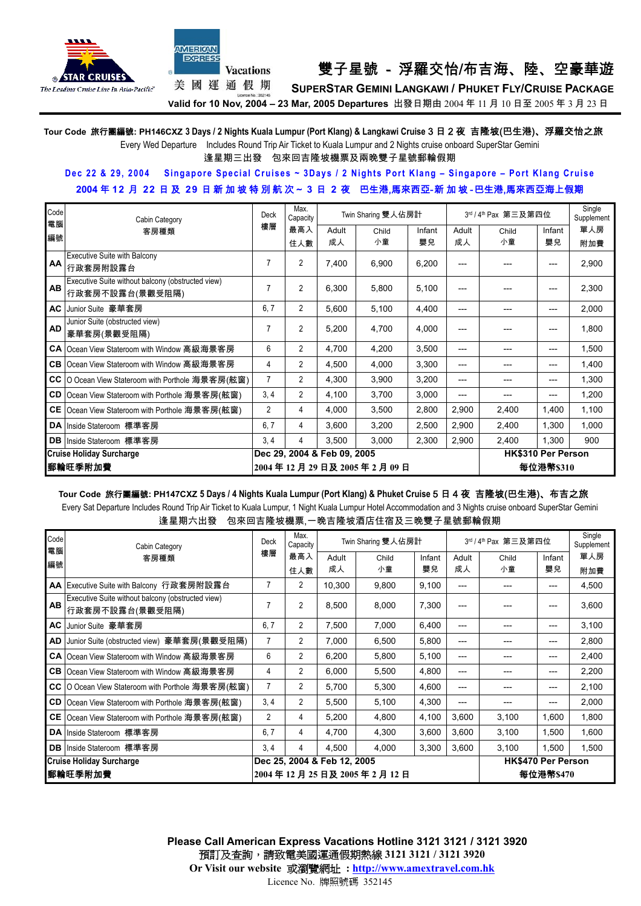



# Vacations 雙子星號 - 浮羅交怡/布吉海、陸、空豪華遊

美國運通假期

**SUPERSTAR GEMINI LANGKAWI / PHUKET FLY/CRUISE PACKAGE Valid for 10 Nov, 2004 – 23 Mar, 2005 Departures** 出發日期由 2004 年 11 月 10 日至 2005 年 3 月 23 日

**Tour Code** 旅行團編號**: PH146CXZ 3 Days / 2 Nights Kuala Lumpur (Port Klang) & Langkawi Cruise** 3 日 2 夜 吉隆坡(巴生港)、浮羅交怡之旅

Every Wed Departure Includes Round Trip Air Ticket to Kuala Lumpur and 2 Nights cruise onboard SuperStar Gemini

逢星期三出發 包來回吉隆坡機票及兩晚雙子星號郵輪假期

## **Dec 22 & 29, 2004 Singapore Special Cruises ~ 3Days / 2 Nights Port Klang – Singapore – Port Klang Cruise 2004** 年 **12** 月 **22** 日 及 **29** 日新加坡特別航次~ **3** 日 **2** 夜 巴生港,馬來西亞-新 加 坡 -巴生港,馬來西亞海上假期

| Code<br>電腦 | Cabin Category<br>樓層<br>客房種類                      |                             | Max.<br>Capacity       |       | Twin Sharing 雙人佔房計 |        |       | 3rd / 4th Pax 第三及第四位      | Single<br>Supplement |       |  |
|------------|---------------------------------------------------|-----------------------------|------------------------|-------|--------------------|--------|-------|---------------------------|----------------------|-------|--|
|            |                                                   |                             | 最高入                    | Adult | Child              | Infant | Adult | Child                     | Infant               | 單人房   |  |
| 編號         |                                                   |                             | 住人數                    | 成人    | 小童                 | 嬰兒     | 成人    | 小童                        | 嬰兒                   | 附加費   |  |
| AA         | Executive Suite with Balcony                      |                             | 2                      | 7,400 | 6,900              |        |       |                           |                      |       |  |
|            | 行政套房附設露台                                          |                             |                        |       |                    | 6,200  |       |                           |                      | 2,900 |  |
| <b>AB</b>  | Executive Suite without balcony (obstructed view) | 7                           | 2                      |       |                    |        |       |                           |                      |       |  |
|            | 行政套房不設露台(景觀受阻隔)                                   |                             |                        | 6,300 | 5,800              | 5,100  | ---   |                           | ---                  | 2,300 |  |
| <b>AC</b>  | Junior Suite 豪華套房                                 | 6, 7                        | $\overline{c}$         | 5,600 | 5,100              | 4,400  | ---   |                           | ---                  | 2,000 |  |
|            | Junior Suite (obstructed view)                    |                             |                        |       |                    |        |       |                           |                      |       |  |
| <b>AD</b>  | 豪華套房(景觀受阻隔)                                       |                             | 2                      | 5,200 | 4,700              | 4,000  | ---   |                           | ---                  | 1,800 |  |
|            | CA Ocean View Stateroom with Window 高級海景客房        | 6                           | 2                      | 4,700 | 4,200              | 3,500  | ---   | ---                       | $---$                | 1,500 |  |
|            | CB Ocean View Stateroom with Window 高級海景客房        |                             | 2                      | 4,500 | 4,000              | 3,300  | ---   | ---                       | ---                  | 1,400 |  |
| cc         | O Ocean View Stateroom with Porthole 海景客房(舷窗)     | $\overline{7}$              | $\overline{c}$         | 4,300 | 3,900              | 3,200  | ---   |                           | ---                  | 1,300 |  |
| CD         | Ocean View Stateroom with Porthole 海景客房(舷窗)       | 3, 4                        | $\overline{c}$         | 4,100 | 3,700              | 3,000  | ---   | ---                       | $---$                | 1,200 |  |
| CE         | Ocean View Stateroom with Porthole 海景客房(舷窗)       |                             | 4                      | 4,000 | 3,500              | 2,800  | 2,900 | 2,400                     | 1,400                | 1,100 |  |
|            | DA Inside Stateroom 標準客房                          | 6, 7                        | 4                      | 3,600 | 3,200              | 2,500  | 2,900 | 2,400                     | 1,300                | 1,000 |  |
| <b>DB</b>  | Inside Stateroom 標準客房                             | 3, 4                        | 4                      | 3,500 | 3,000              | 2,300  | 2,900 | 2,400                     | 1,300                | 900   |  |
|            | <b>Cruise Holiday Surcharge</b>                   | Dec 29, 2004 & Feb 09, 2005 |                        |       |                    |        |       | <b>HK\$310 Per Person</b> |                      |       |  |
| ▌郵輪旺季附加費   |                                                   |                             | 2004年12月29日及2005年2月09日 |       |                    |        |       |                           | 每位港幣\$310            |       |  |

**Tour Code** 旅行團編號**: PH147CXZ 5 Days / 4 Nights Kuala Lumpur (Port Klang) & Phuket Cruise** 5 日 4 夜 吉隆坡(巴生港)、布吉之旅 Every Sat Departure Includes Round Trip Air Ticket to Kuala Lumpur, 1 Night Kuala Lumpur Hotel Accommodation and 3 Nights cruise onboard SuperStar Gemini 逢星期六出發 包來回吉隆坡機票,一晚吉隆坡酒店住宿及三晚雙子星號郵輪假期

| Code<br>電腦                      | Cabin Category<br>客房種類                                               |                | Max.<br>Capacity            | Twin Sharing 雙人佔房計 |       |        |       | 3rd / 4th Pax 第三及第四位      |        |       |
|---------------------------------|----------------------------------------------------------------------|----------------|-----------------------------|--------------------|-------|--------|-------|---------------------------|--------|-------|
|                                 |                                                                      |                | 最高入                         | Adult              | Child | Infant | Adult | Child                     | Infant | 單人房   |
| 編號                              |                                                                      |                | 住人數                         | 成人                 | 小童    | 嬰兒     | 成人    | 小童                        | 嬰兒     | 附加費   |
|                                 | AA Executive Suite with Balcony 行政套房附設露台                             | 7              | 2                           | 10,300             | 9,800 | 9,100  | ---   |                           | ---    | 4,500 |
| AB                              | Executive Suite without balcony (obstructed view)<br>行政套房不設露台(景觀受阻隔) |                | 2                           | 8,500              | 8,000 | 7,300  | ---   |                           | ---    | 3,600 |
| AC                              | Junior Suite 豪華套房                                                    | 6.7            | $\overline{2}$              | 7,500              | 7,000 | 6,400  | $---$ |                           | ---    | 3,100 |
| AD                              | Junior Suite (obstructed view) 豪華套房(景觀受阻隔)                           |                | 2                           | 7,000              | 6,500 | 5,800  | ---   |                           | ---    | 2,800 |
|                                 | CA Ocean View Stateroom with Window 高級海景客房                           | 6              | $\overline{c}$              | 6,200              | 5,800 | 5,100  | ---   |                           | ---    | 2,400 |
|                                 | CB Ocean View Stateroom with Window 高級海景客房                           | 4              | 2                           | 6,000              | 5,500 | 4,800  | ---   |                           | ---    | 2,200 |
|                                 | CC O Ocean View Stateroom with Porthole 海景客房(舷窗)                     | $\overline{7}$ | $\overline{2}$              | 5,700              | 5,300 | 4,600  | ---   |                           | ---    | 2,100 |
|                                 | CD Ocean View Stateroom with Porthole 海景客房(舷窗)                       | 3, 4           | 2                           | 5,500              | 5,100 | 4,300  | ---   |                           | ---    | 2,000 |
|                                 | CE Ocean View Stateroom with Porthole 海景客房(舷窗)                       | 2              | 4                           | 5,200              | 4,800 | 4,100  | 3,600 | 3,100                     | 1,600  | 1,800 |
|                                 | DA Inside Stateroom 標準客房                                             | 6, 7           | 4                           | 4,700              | 4,300 | 3,600  | 3,600 | 3,100                     | 1,500  | 1,600 |
|                                 | DB Inside Stateroom 標準客房                                             | 3, 4           | 4                           | 4.500              | 4,000 | 3,300  | 3,600 | 3,100                     | 1,500  | 1,500 |
| <b>Cruise Holiday Surcharge</b> |                                                                      |                | Dec 25, 2004 & Feb 12, 2005 |                    |       |        |       | <b>HK\$470 Per Person</b> |        |       |
| 郵輪旺季附加費                         |                                                                      |                | 2004年12月25日及2005年2月12日      |                    |       |        |       | 每位港幤\$470                 |        |       |

**Please Call American Express Vacations Hotline 3121 3121 / 3121 3920**  預訂及查詢,請致電美國運通假期熱線 **3121 3121 / 3121 3920 Or Visit our website** 或瀏覽網址 **: http://www.amextravel.com.hk**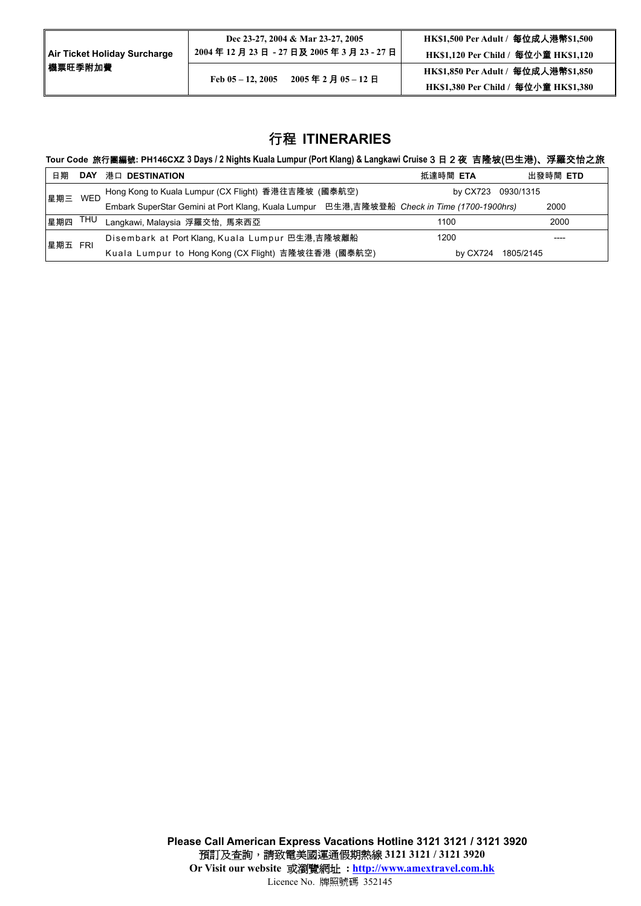| <b>Air Ticket Holiday Surcharge</b> | Dec 23-27, 2004 & Mar 23-27, 2005<br>2004年12月23日 - 27日及2005年3月23 - 27日 | HK\$1,500 Per Adult / 每位成人港幣\$1,500<br>HK\$1,120 Per Child / 每位小童 HK\$1,120 |
|-------------------------------------|------------------------------------------------------------------------|-----------------------------------------------------------------------------|
| ┃機票旺季附加費                            | 2005年2月05-12日<br>Feb $05 - 12$ , 2005                                  | HK\$1,850 Per Adult / 每位成人港幤\$1,850<br>HK\$1,380 Per Child / 每位小童 HK\$1,380 |
|                                     |                                                                        |                                                                             |

# 行程 **ITINERARIES**

### **Tour Code** 旅行團編號**: PH146CXZ 3 Days / 2 Nights Kuala Lumpur (Port Klang) & Langkawi Cruise** 3 日 2 夜 吉隆坡(巴生港)、浮羅交怡之旅

| 日期      |            | DAY 港口 DESTINATION                                                                         | 抵達時間 ETA           | 出發時間 ETD  |
|---------|------------|--------------------------------------------------------------------------------------------|--------------------|-----------|
| 星期三     | <b>WFD</b> | Hong Kong to Kuala Lumpur (CX Flight) 香港往吉隆坡 (國泰航空)                                        | by CX723 0930/1315 |           |
|         |            | Embark SuperStar Gemini at Port Klang, Kuala Lumpur 巴生港,吉隆坡登船 Check in Time (1700-1900hrs) |                    | 2000      |
| 星期四     |            | THU Langkawi, Malaysia 浮羅交怡, 馬來西亞                                                          | 1100               | 2000      |
| 星期五 FRI |            | Disembark at Port Klang, Kuala Lumpur 巴生港,吉隆坡離船                                            | 1200               | ----      |
|         |            | Kuala Lumpur to Hong Kong (CX Flight) 吉隆坡往香港 (國泰航空)                                        | by CX724           | 1805/2145 |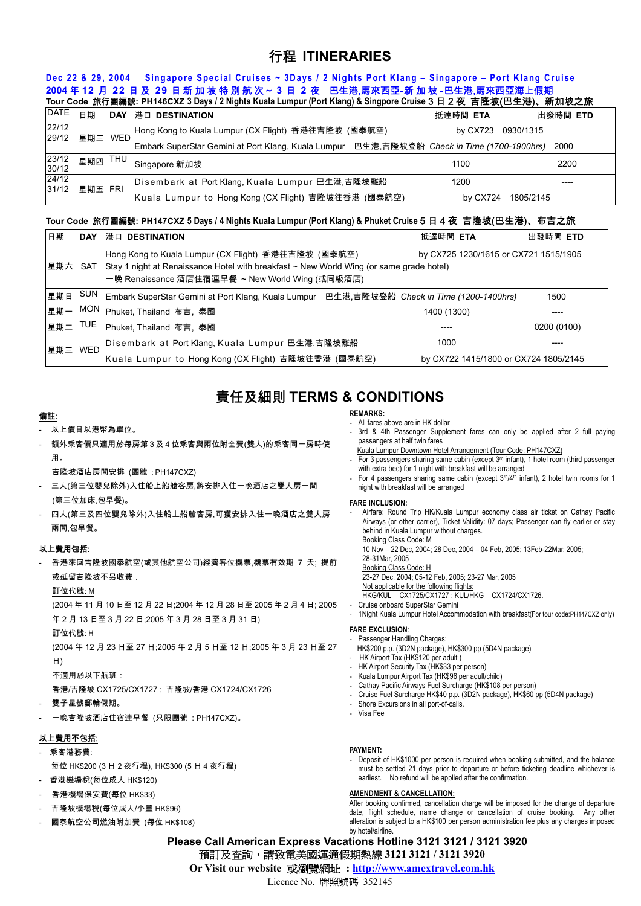# 行程 **ITINERARIES**

# **Dec 22 & 29, 2004 Singapore Special Cruises ~ 3Days / 2 Nights Port Klang – Singapore – Port Klang Cruise 2004** 年 **12** 月 **22** 日 及 **29** 日新加坡特別航次~ **3** 日 **2** 夜 巴生港,馬來西亞-新 加 坡 -巴生港,馬來西亞海上假期

|                |         |     | Tour Code 旅行團編號: PH146CXZ 3 Days / 2 Nights Kuala Lumpur (Port Klang) & Singpore Cruise 3 日 2 夜  吉隆坡(巴生港)、新加坡之旅 |                    |           |
|----------------|---------|-----|-----------------------------------------------------------------------------------------------------------------|--------------------|-----------|
| <b>DATE</b>    | 日期      |     | DAY 港口 DESTINATION                                                                                              | 抵達時間 ETA           | 出發時間 ETD  |
| 22/12<br>29/12 | 星期三 WED |     | Hong Kong to Kuala Lumpur (CX Flight) 香港往吉隆坡 (國泰航空)                                                             | by CX723 0930/1315 |           |
|                |         |     | Embark SuperStar Gemini at Port Klang, Kuala Lumpur 巴生港,吉隆坡登船 Check in Time (1700-1900hrs)                      |                    | 2000      |
| 23/12<br>30/12 | 星期四     | THU | Singapore 新加坡                                                                                                   | 1100               | 2200      |
| 24/12<br>31/12 | 星期五 FRI |     | Disembark at Port Klang, Kuala Lumpur 巴生港,吉隆坡離船                                                                 | 1200               |           |
|                |         |     | Kuala Lumpur to Hong Kong (CX Flight) 吉隆坡往香港 (國泰航空)                                                             | by CX724           | 1805/2145 |

### **Tour Code** 旅行團編號**: PH147CXZ 5 Days / 4 Nights Kuala Lumpur (Port Klang) & Phuket Cruise** 5 日 4 夜 吉隆坡(巴生港)、布吉之旅

| 日期                   |     | DAY 港口 DESTINATION                                                                                                                                                                                | 抵達時間 ETA                              | 出發時間 ETD    |
|----------------------|-----|---------------------------------------------------------------------------------------------------------------------------------------------------------------------------------------------------|---------------------------------------|-------------|
| 星期六 SAT              |     | Hong Kong to Kuala Lumpur (CX Flight) 香港往吉隆坡 (國泰航空)<br>Stay 1 night at Renaissance Hotel with breakfast ~ New World Wing (or same grade hotel)<br>一晚 Renaissance 酒店住宿連早餐 ~ New World Wing (或同級酒店) | by CX725 1230/1615 or CX721 1515/1905 |             |
| 星期日                  | SUN | Embark SuperStar Gemini at Port Klang, Kuala Lumpur 巴生港,吉隆坡登船 Check in Time (1200-1400hrs)                                                                                                        |                                       | 1500        |
| 星期一                  | MON | Phuket, Thailand 布吉, 泰國                                                                                                                                                                           | 1400 (1300)                           |             |
| l <sub>星期二</sub> TUE |     | Phuket, Thailand 布吉, 泰國                                                                                                                                                                           |                                       | 0200 (0100) |
| 星期三 WED              |     | Disembark at Port Klang, Kuala Lumpur 巴生港,吉隆坡離船                                                                                                                                                   | 1000                                  |             |
|                      |     | Kuala Lumpur to Hong Kong (CX Flight) 吉隆坡往香港 (國泰航空)                                                                                                                                               | by CX722 1415/1800 or CX724 1805/2145 |             |

# 責任及細則 **TERMS & CONDITIONS**

#### 備註:

- 以上價目以港幣為單位。
- 額外乘客價只適用於每房第 3 及 4 位乘客與兩位附全費(雙人)的乘客同一房時使 用。
- 吉隆坡酒店房間安排 (團號 : PH147CXZ)
- 三人(第三位嬰兒除外)入住船上船艙客房,將安排入住一晚酒店之雙人房一間 (第三位加床,包早餐)。
- 四人(第三及四位嬰兒除外)入住船上船艙客房,可獲安排入住一晚酒店之雙人房 兩間,包早餐。

### 以上費用包括:

- 香港來回吉隆坡國泰航空(或其他航空公司)經濟客位機票,機票有效期 7 天; 提前 或延留吉隆坡不另收費.

#### 訂位代號: M

(2004 年 11 月 10 日至 12 月 22 日;2004 年 12 月 28 日至 2005 年 2 月 4 日; 2005 年 2 月 13 日至 3 月 22 日;2005 年 3 月 28 日至 3 月 31 日)

#### 訂位代號: H

(2004 年 12 月 23 日至 27 日;2005 年 2 月 5 日至 12 日;2005 年 3 月 23 日至 27 日)

#### 不適用於以下航班:

香港/吉隆坡 CX1725/CX1727 ; 吉隆坡/香港 CX1724/CX1726

#### - 雙子星號郵輪假期。

- 一晚吉隆坡酒店住宿連早餐 (只限團號 : PH147CXZ)。

### 以上費用不包括:

- 乘客港務費:
- 每位 HK\$200 (3 日 2 夜行程), HK\$300 (5 日 4 夜行程)
- 香港機場稅(每位成人 HK\$120)
- 香港機場保安費(每位 HK\$33)
- 吉隆坡機場稅(每位成人/小童 HK\$96)
- 國泰航空公司燃油附加費 (每位 HK\$108)

### **REMARKS:**

- All fares above are in HK dollar
- 3rd & 4th Passenger Supplement fares can only be applied after 2 full paying passengers at half twin fares
- Kuala Lumpur Downtown Hotel Arrangement (Tour Code: PH147CXZ) - For 3 passengers sharing same cabin (except  $3<sup>rd</sup>$  infant), 1 hotel room (third passenger with extra bed) for 1 night with breakfast will be arranged
- For 4 passengers sharing same cabin (except 3rd/4th infant), 2 hotel twin rooms for 1 night with breakfast will be arranged

#### **FARE INCLUSION:**

Airfare: Round Trip HK/Kuala Lumpur economy class air ticket on Cathay Pacific Airways (or other carrier), Ticket Validity: 07 days; Passenger can fly earlier or stay behind in Kuala Lumpur without charges.

Booking Class Code: M 10 Nov – 22 Dec, 2004; 28 Dec, 2004 – 04 Feb, 2005; 13Feb-22Mar, 2005;

- 28-31Mar, 2005
- Booking Class Code: H

23-27 Dec, 2004; 05-12 Feb, 2005; 23-27 Mar, 2005

Not applicable for the following flights:

HKG/KUL CX1725/CX1727 ; KUL/HKG CX1724/CX1726. - Cruise onboard SuperStar Gemini

- 1Night Kuala Lumpur Hotel Accommodation with breakfast(For tour code:PH147CXZ only)

#### **FARE EXCLUSION**:

- Passenger Handling Charges: HK\$200 p.p. (3D2N package), HK\$300 pp (5D4N package)
- HK Airport Tax (HK\$120 per adult)
- HK Airport Security Tax (HK\$33 per person)
- Kuala Lumpur Airport Tax (HK\$96 per adult/child)
- Cathay Pacific Airways Fuel Surcharge (HK\$108 per person)
- Cruise Fuel Surcharge HK\$40 p.p. (3D2N package), HK\$60 pp (5D4N package)
- Shore Excursions in all port-of-calls.
- Visa Fee

#### **PAYMENT:**

- Deposit of HK\$1000 per person is required when booking submitted, and the balance must be settled 21 days prior to departure or before ticketing deadline whichever is earliest. No refund will be applied after the confirmation.

#### **AMENDMENT & CANCELLATION:**

After booking confirmed, cancellation charge will be imposed for the change of departure date, flight schedule, name change or cancellation of cruise booking. Any other alteration is subject to a HK\$100 per person administration fee plus any charges imposed by hotel/airline.

**Please Call American Express Vacations Hotline 3121 3121 / 3121 3920**  預訂及查詢,請致電美國運通假期熱線 **3121 3121 / 3121 3920** 

**Or Visit our website** 或瀏覽網址 **: http://www.amextravel.com.hk**